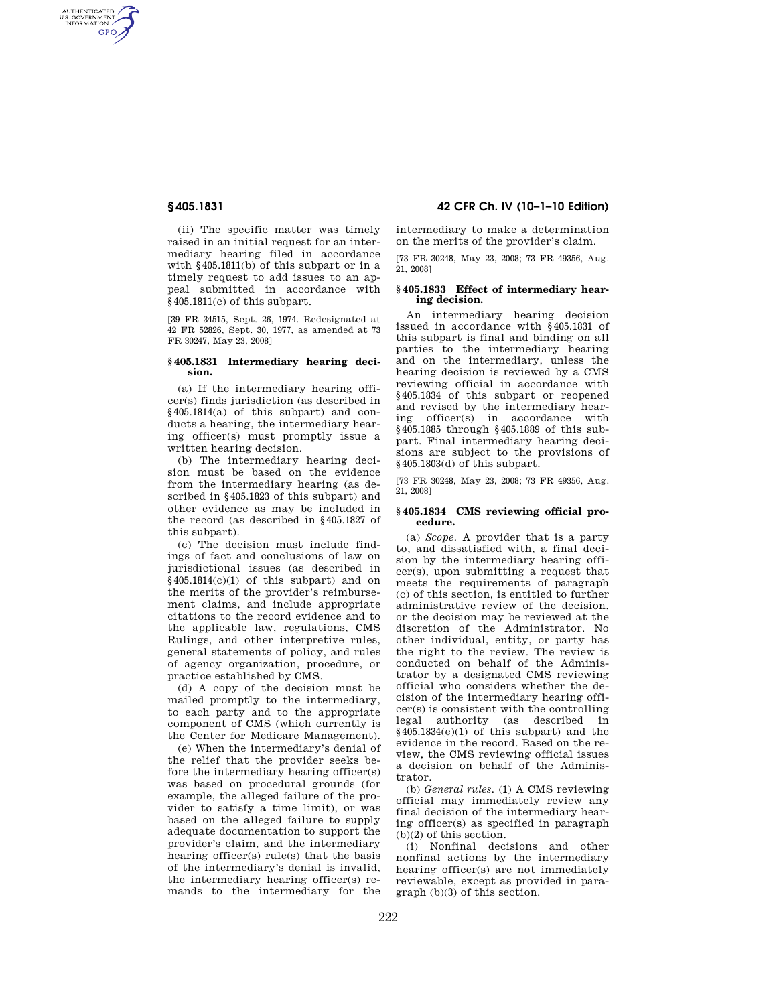AUTHENTICATED<br>U.S. GOVERNMENT<br>INFORMATION **GPO** 

> (ii) The specific matter was timely raised in an initial request for an intermediary hearing filed in accordance with §405.1811(b) of this subpart or in a timely request to add issues to an appeal submitted in accordance with §405.1811(c) of this subpart.

> [39 FR 34515, Sept. 26, 1974. Redesignated at 42 FR 52826, Sept. 30, 1977, as amended at 73 FR 30247, May 23, 2008]

### **§ 405.1831 Intermediary hearing decision.**

(a) If the intermediary hearing officer(s) finds jurisdiction (as described in §405.1814(a) of this subpart) and conducts a hearing, the intermediary hearing officer(s) must promptly issue a written hearing decision.

(b) The intermediary hearing decision must be based on the evidence from the intermediary hearing (as described in §405.1823 of this subpart) and other evidence as may be included in the record (as described in §405.1827 of this subpart).

(c) The decision must include findings of fact and conclusions of law on jurisdictional issues (as described in §405.1814(c)(1) of this subpart) and on the merits of the provider's reimbursement claims, and include appropriate citations to the record evidence and to the applicable law, regulations, CMS Rulings, and other interpretive rules, general statements of policy, and rules of agency organization, procedure, or practice established by CMS.

(d) A copy of the decision must be mailed promptly to the intermediary, to each party and to the appropriate component of CMS (which currently is the Center for Medicare Management).

(e) When the intermediary's denial of the relief that the provider seeks before the intermediary hearing officer(s) was based on procedural grounds (for example, the alleged failure of the provider to satisfy a time limit), or was based on the alleged failure to supply adequate documentation to support the provider's claim, and the intermediary hearing officer(s) rule(s) that the basis of the intermediary's denial is invalid, the intermediary hearing officer(s) remands to the intermediary for the

# **§ 405.1831 42 CFR Ch. IV (10–1–10 Edition)**

intermediary to make a determination on the merits of the provider's claim.

[73 FR 30248, May 23, 2008; 73 FR 49356, Aug. 21, 2008]

#### **§ 405.1833 Effect of intermediary hearing decision.**

An intermediary hearing decision issued in accordance with §405.1831 of this subpart is final and binding on all parties to the intermediary hearing and on the intermediary, unless the hearing decision is reviewed by a CMS reviewing official in accordance with §405.1834 of this subpart or reopened and revised by the intermediary hearing officer(s) in accordance with §405.1885 through §405.1889 of this subpart. Final intermediary hearing decisions are subject to the provisions of §405.1803(d) of this subpart.

[73 FR 30248, May 23, 2008; 73 FR 49356, Aug. 21, 2008]

#### **§ 405.1834 CMS reviewing official procedure.**

(a) *Scope.* A provider that is a party to, and dissatisfied with, a final decision by the intermediary hearing officer(s), upon submitting a request that meets the requirements of paragraph (c) of this section, is entitled to further administrative review of the decision, or the decision may be reviewed at the discretion of the Administrator. No other individual, entity, or party has the right to the review. The review is conducted on behalf of the Administrator by a designated CMS reviewing official who considers whether the decision of the intermediary hearing officer(s) is consistent with the controlling legal authority (as described in §405.1834(e)(1) of this subpart) and the evidence in the record. Based on the review, the CMS reviewing official issues a decision on behalf of the Administrator.

(b) *General rules.* (1) A CMS reviewing official may immediately review any final decision of the intermediary hearing officer(s) as specified in paragraph (b)(2) of this section.

(i) Nonfinal decisions and other nonfinal actions by the intermediary hearing officer(s) are not immediately reviewable, except as provided in paragraph (b)(3) of this section.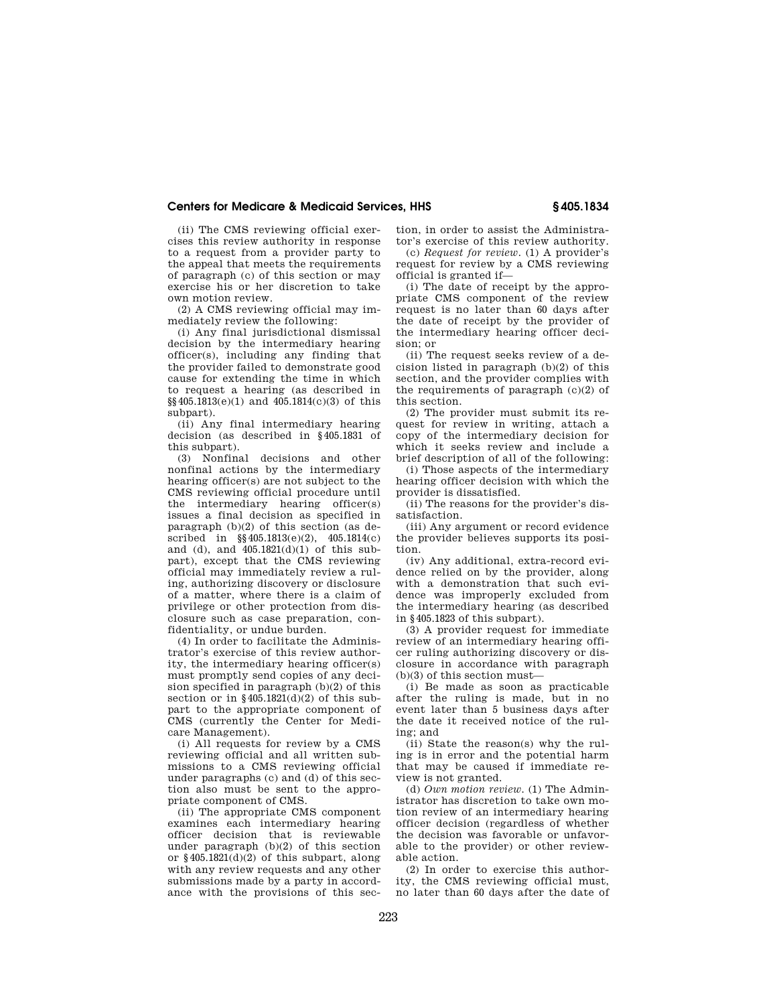# **Centers for Medicare & Medicaid Services, HHS § 405.1834**

(ii) The CMS reviewing official exercises this review authority in response to a request from a provider party to the appeal that meets the requirements of paragraph (c) of this section or may exercise his or her discretion to take own motion review.

(2) A CMS reviewing official may immediately review the following:

(i) Any final jurisdictional dismissal decision by the intermediary hearing officer(s), including any finding that the provider failed to demonstrate good cause for extending the time in which to request a hearing (as described in §§405.1813(e)(1) and 405.1814(c)(3) of this subpart).

(ii) Any final intermediary hearing decision (as described in §405.1831 of this subpart).

(3) Nonfinal decisions and other nonfinal actions by the intermediary hearing officer(s) are not subject to the CMS reviewing official procedure until the intermediary hearing officer(s) issues a final decision as specified in paragraph (b)(2) of this section (as described in §§405.1813(e)(2), 405.1814(c) and (d), and  $405.1821(d)(1)$  of this subpart), except that the CMS reviewing official may immediately review a ruling, authorizing discovery or disclosure of a matter, where there is a claim of privilege or other protection from disclosure such as case preparation, confidentiality, or undue burden.

(4) In order to facilitate the Administrator's exercise of this review authority, the intermediary hearing officer(s) must promptly send copies of any decision specified in paragraph (b)(2) of this section or in  $\frac{6405.1821(d)}{2}$  of this subpart to the appropriate component of CMS (currently the Center for Medicare Management).

(i) All requests for review by a CMS reviewing official and all written submissions to a CMS reviewing official under paragraphs (c) and (d) of this section also must be sent to the appropriate component of CMS.

(ii) The appropriate CMS component examines each intermediary hearing officer decision that is reviewable under paragraph (b)(2) of this section or §405.1821(d)(2) of this subpart, along with any review requests and any other submissions made by a party in accordance with the provisions of this section, in order to assist the Administrator's exercise of this review authority.

(c) *Request for review.* (1) A provider's request for review by a CMS reviewing official is granted if—

(i) The date of receipt by the appropriate CMS component of the review request is no later than 60 days after the date of receipt by the provider of the intermediary hearing officer decision; or

(ii) The request seeks review of a decision listed in paragraph (b)(2) of this section, and the provider complies with the requirements of paragraph  $(c)(2)$  of this section.

(2) The provider must submit its request for review in writing, attach a copy of the intermediary decision for which it seeks review and include a brief description of all of the following:

(i) Those aspects of the intermediary hearing officer decision with which the provider is dissatisfied.

(ii) The reasons for the provider's dissatisfaction.

(iii) Any argument or record evidence the provider believes supports its position.

(iv) Any additional, extra-record evidence relied on by the provider, along with a demonstration that such evidence was improperly excluded from the intermediary hearing (as described in §405.1823 of this subpart).

(3) A provider request for immediate review of an intermediary hearing officer ruling authorizing discovery or disclosure in accordance with paragraph  $(b)(3)$  of this section must—

(i) Be made as soon as practicable after the ruling is made, but in no event later than 5 business days after the date it received notice of the ruling; and

(ii) State the reason(s) why the ruling is in error and the potential harm that may be caused if immediate review is not granted.

(d) *Own motion review.* (1) The Administrator has discretion to take own motion review of an intermediary hearing officer decision (regardless of whether the decision was favorable or unfavorable to the provider) or other reviewable action.

(2) In order to exercise this authority, the CMS reviewing official must, no later than 60 days after the date of